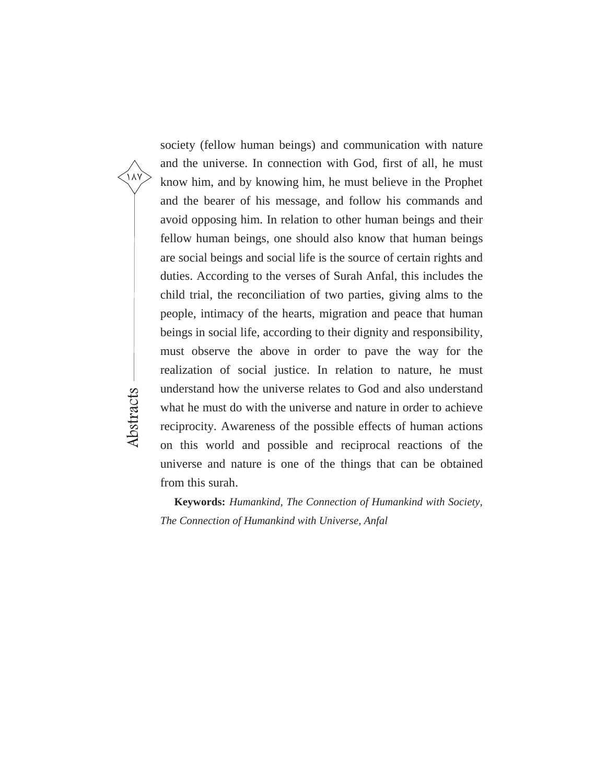society (fellow human beings) and communication with nature and the universe. In connection with God, first of all, he must know him, and by knowing him, he must believe in the Prophet and the bearer of his message, and follow his commands and avoid opposing him. In relation to other human beings and their fellow human beings, one should also know that human beings are social beings and social life is the source of certain rights and duties. According to the verses of Surah Anfal, this includes the child trial, the reconciliation of two parties, giving alms to the people, intimacy of the hearts, migration and peace that human beings in social life, according to their dignity and responsibility, must observe the above in order to pave the way for the realization of social justice. In relation to nature, he must understand how the universe relates to God and also understand what he must do with the universe and nature in order to achieve reciprocity. Awareness of the possible effects of human actions on this world and possible and reciprocal reactions of the universe and nature is one of the things that can be obtained from this surah.

۱۸۷

Abstracts

**Keywords:** *Humankind, The Connection of Humankind with Society, The Connection of Humankind with Universe, Anfal*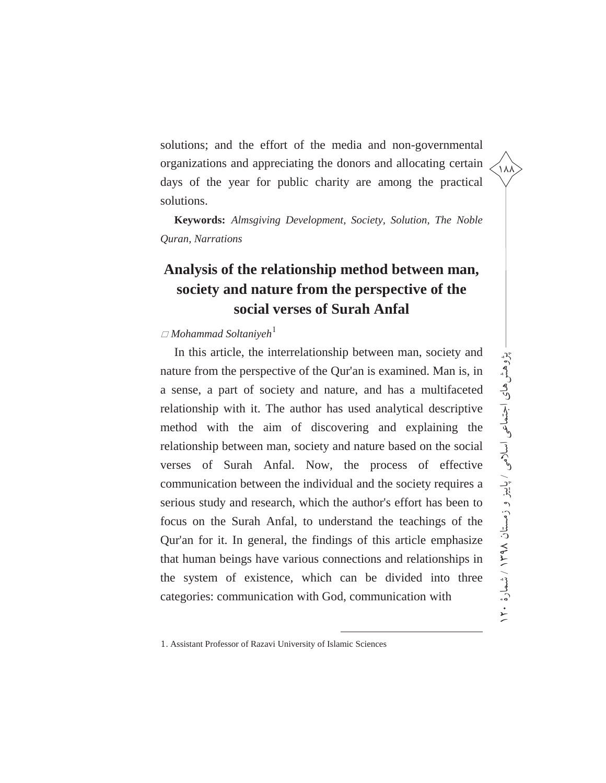solutions; and the effort of the media and non-governmental organizations and appreciating the donors and allocating certain days of the year for public charity are among the practical solutions.

**Keywords:** *Almsgiving Development, Society, Solution, The Noble Quran, Narrations*

## **Analysis of the relationship method between man, society and nature from the perspective of the social verses of Surah Anfal**

#### $\Box$  Mohammad Soltaniyeh<sup>1</sup>

In this article, the interrelationship between man, society and nature from the perspective of the Qur'an is examined. Man is, in a sense, a part of society and nature, and has a multifaceted relationship with it. The author has used analytical descriptive method with the aim of discovering and explaining the relationship between man, society and nature based on the social verses of Surah Anfal. Now, the process of effective communication between the individual and the society requires a serious study and research, which the author's effort has been to focus on the Surah Anfal, to understand the teachings of the Qur'an for it. In general, the findings of this article emphasize that human beings have various connections and relationships in the system of existence, which can be divided into three categories: communication with God, communication with

 $\overline{a}$ 

زمستان هاي اجتماعی اسلامی پژوهش

پڑوہش ہای اجتماعی اسلامی / پایبز و زمستان ۱۳۹۸ نمسارۂ ۱۲۰

۱۸۸

١٢٠ / شمارة ١٣٩٨ / پاییز و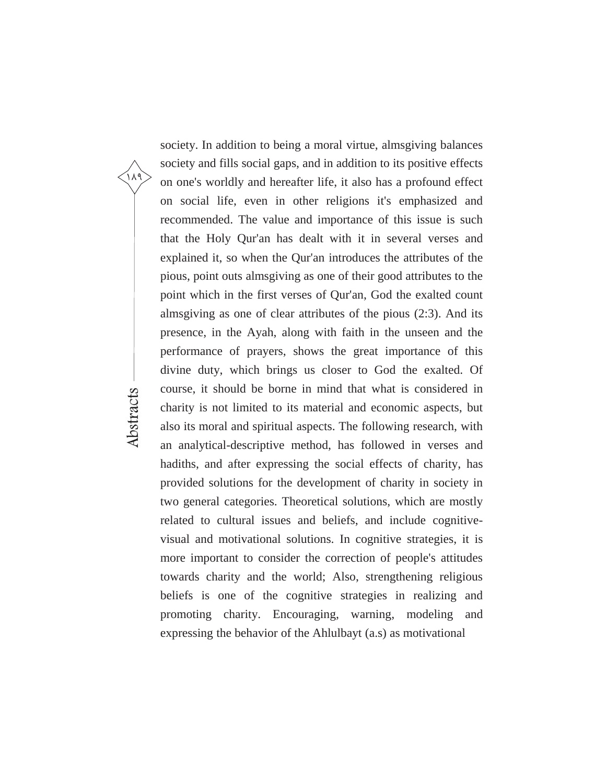society. In addition to being a moral virtue, almsgiving balances society and fills social gaps, and in addition to its positive effects on one's worldly and hereafter life, it also has a profound effect on social life, even in other religions it's emphasized and recommended. The value and importance of this issue is such that the Holy Qur'an has dealt with it in several verses and explained it, so when the Qur'an introduces the attributes of the pious, point outs almsgiving as one of their good attributes to the point which in the first verses of Qur'an, God the exalted count almsgiving as one of clear attributes of the pious (2:3). And its presence, in the Ayah, along with faith in the unseen and the performance of prayers, shows the great importance of this divine duty, which brings us closer to God the exalted. Of course, it should be borne in mind that what is considered in charity is not limited to its material and economic aspects, but also its moral and spiritual aspects. The following research, with an analytical-descriptive method, has followed in verses and hadiths, and after expressing the social effects of charity, has provided solutions for the development of charity in society in two general categories. Theoretical solutions, which are mostly related to cultural issues and beliefs, and include cognitivevisual and motivational solutions. In cognitive strategies, it is more important to consider the correction of people's attitudes towards charity and the world; Also, strengthening religious beliefs is one of the cognitive strategies in realizing and promoting charity. Encouraging, warning, modeling and expressing the behavior of the Ahlulbayt (a.s) as motivational

۱۸۹

Abstracts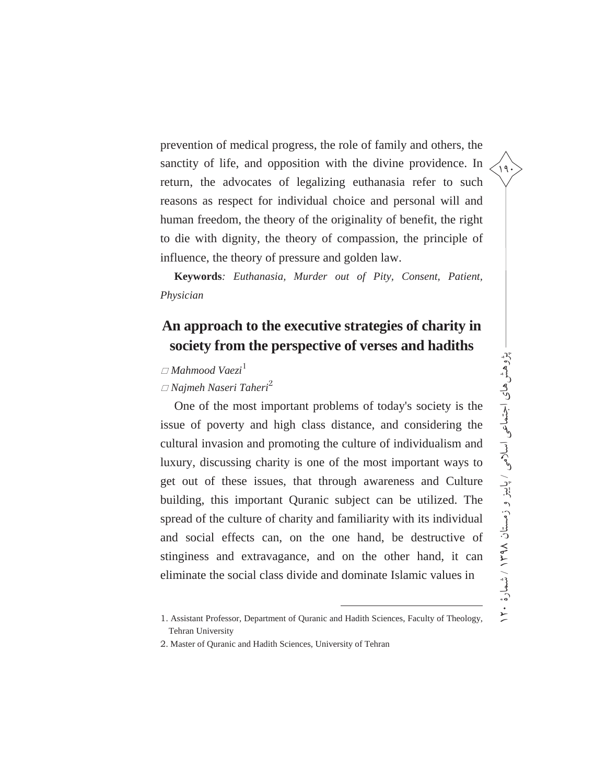prevention of medical progress, the role of family and others, the sanctity of life, and opposition with the divine providence. In return, the advocates of legalizing euthanasia refer to such reasons as respect for individual choice and personal will and human freedom, the theory of the originality of benefit, the right to die with dignity, the theory of compassion, the principle of influence, the theory of pressure and golden law.

**Keywords***: Euthanasia, Murder out of Pity, Consent, Patient, Physician* 

## **An approach to the executive strategies of charity in society from the perspective of verses and hadiths**

### *Mahmood Vaezi*<sup>1</sup>

#### *Najmeh Naseri Taheri*<sup>2</sup>

One of the most important problems of today's society is the issue of poverty and high class distance, and considering the cultural invasion and promoting the culture of individualism and luxury, discussing charity is one of the most important ways to get out of these issues, that through awareness and Culture building, this important Quranic subject can be utilized. The spread of the culture of charity and familiarity with its individual and social effects can, on the one hand, be destructive of stinginess and extravagance, and on the other hand, it can eliminate the social class divide and dominate Islamic values in

1

2. Master of Quranic and Hadith Sciences, University of Tehran

<sup>1</sup>. Assistant Professor, Department of Quranic and Hadith Sciences, Faculty of Theology, Tehran University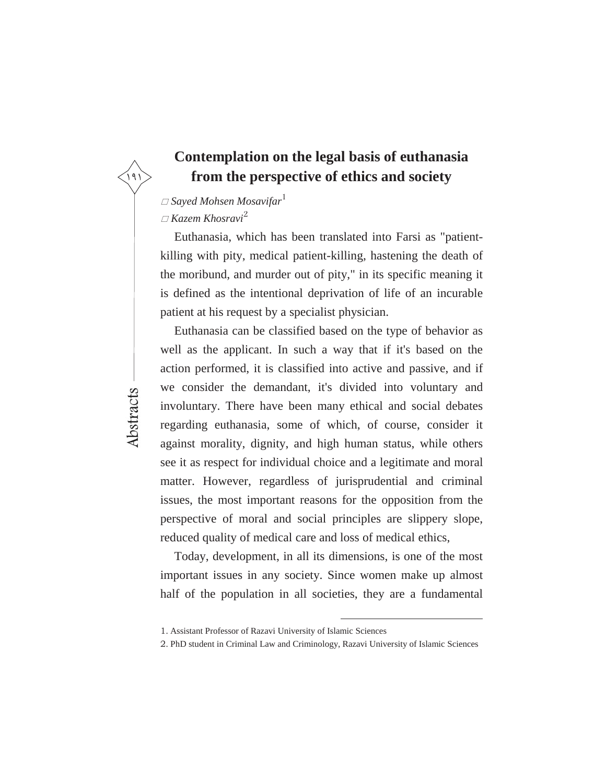### **Contemplation on the legal basis of euthanasia from the perspective of ethics and society**

#### *Sayed Mohsen Mosavifar*<sup>1</sup>

*Kazem Khosravi*<sup>2</sup>

Euthanasia, which has been translated into Farsi as "patientkilling with pity, medical patient-killing, hastening the death of the moribund, and murder out of pity," in its specific meaning it is defined as the intentional deprivation of life of an incurable patient at his request by a specialist physician.

Euthanasia can be classified based on the type of behavior as well as the applicant. In such a way that if it's based on the action performed, it is classified into active and passive, and if we consider the demandant, it's divided into voluntary and involuntary. There have been many ethical and social debates regarding euthanasia, some of which, of course, consider it against morality, dignity, and high human status, while others see it as respect for individual choice and a legitimate and moral matter. However, regardless of jurisprudential and criminal issues, the most important reasons for the opposition from the perspective of moral and social principles are slippery slope, reduced quality of medical care and loss of medical ethics,

Today, development, in all its dimensions, is one of the most important issues in any society. Since women make up almost half of the population in all societies, they are a fundamental

 $\overline{a}$ 

Abstracts

<sup>1</sup>. Assistant Professor of Razavi University of Islamic Sciences

<sup>2</sup>. PhD student in Criminal Law and Criminology, Razavi University of Islamic Sciences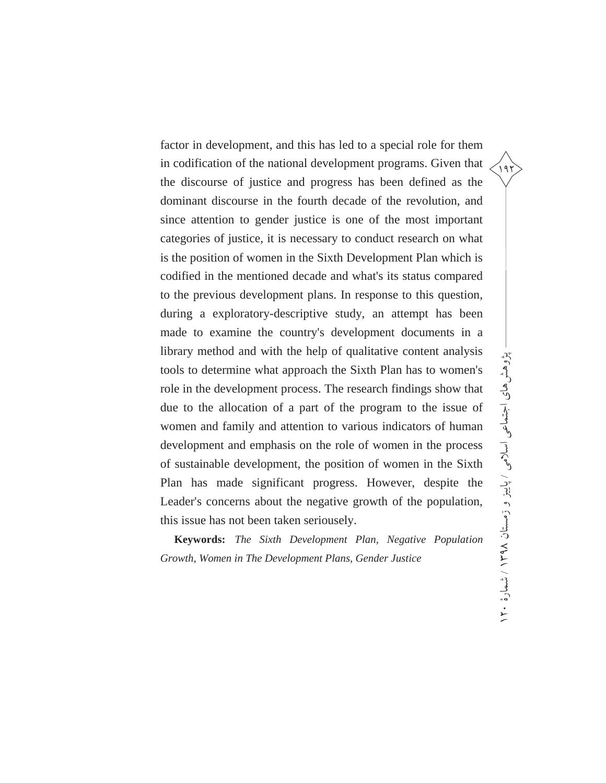factor in development, and this has led to a special role for them in codification of the national development programs. Given that the discourse of justice and progress has been defined as the dominant discourse in the fourth decade of the revolution, and since attention to gender justice is one of the most important categories of justice, it is necessary to conduct research on what is the position of women in the Sixth Development Plan which is codified in the mentioned decade and what's its status compared to the previous development plans. In response to this question, during a exploratory-descriptive study, an attempt has been made to examine the country's development documents in a library method and with the help of qualitative content analysis tools to determine what approach the Sixth Plan has to women's role in the development process. The research findings show that due to the allocation of a part of the program to the issue of women and family and attention to various indicators of human development and emphasis on the role of women in the process of sustainable development, the position of women in the Sixth Plan has made significant progress. However, despite the Leader's concerns about the negative growth of the population, this issue has not been taken seriousely.

**Keywords:** *The Sixth Development Plan, Negative Population Growth, Women in The Development Plans, Gender Justice*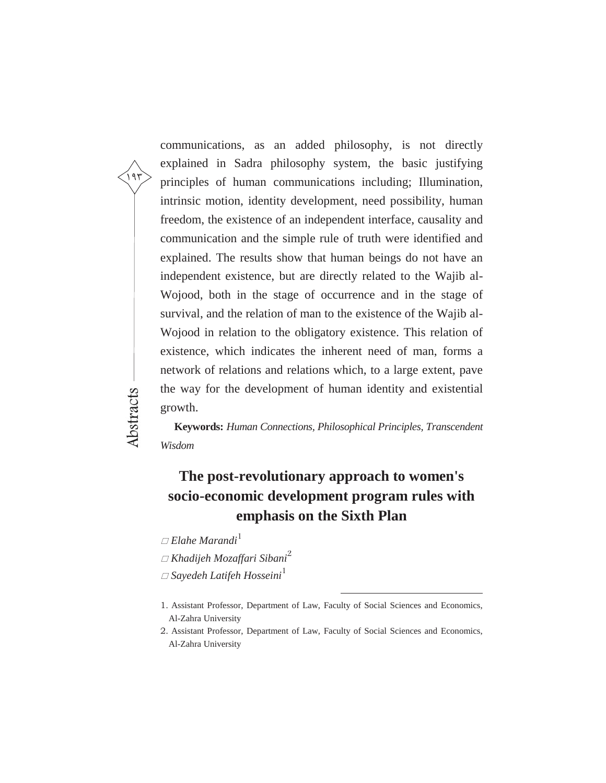communications, as an added philosophy, is not directly explained in Sadra philosophy system, the basic justifying principles of human communications including; Illumination, intrinsic motion, identity development, need possibility, human freedom, the existence of an independent interface, causality and communication and the simple rule of truth were identified and explained. The results show that human beings do not have an independent existence, but are directly related to the Wajib al-Wojood, both in the stage of occurrence and in the stage of survival, and the relation of man to the existence of the Wajib al-Wojood in relation to the obligatory existence. This relation of existence, which indicates the inherent need of man, forms a network of relations and relations which, to a large extent, pave the way for the development of human identity and existential growth.

**Keywords:** *Human Connections, Philosophical Principles, Transcendent Wisdom*

## **The post-revolutionary approach to women's socio-economic development program rules with emphasis on the Sixth Plan**

*Elahe Marandi*<sup>1</sup>

۱۹۳

Abstracts

*Khadijeh Mozaffari Sibani*<sup>2</sup>

*Sayedeh Latifeh Hosseini*<sup>1</sup>

 $\overline{a}$ 

<sup>1</sup>. Assistant Professor, Department of Law, Faculty of Social Sciences and Economics, Al-Zahra University

<sup>2</sup>. Assistant Professor, Department of Law, Faculty of Social Sciences and Economics, Al-Zahra University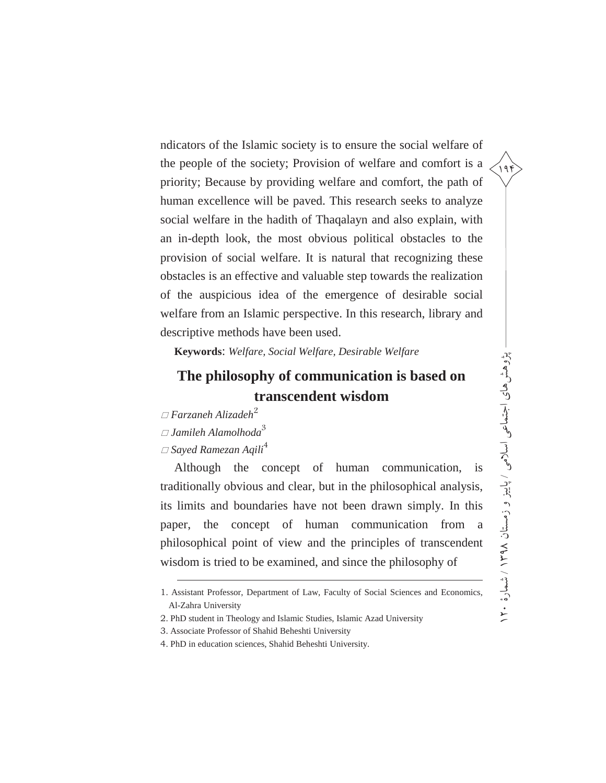ndicators of the Islamic society is to ensure the social welfare of the people of the society; Provision of welfare and comfort is a priority; Because by providing welfare and comfort, the path of human excellence will be paved. This research seeks to analyze social welfare in the hadith of Thaqalayn and also explain, with an in-depth look, the most obvious political obstacles to the provision of social welfare. It is natural that recognizing these obstacles is an effective and valuable step towards the realization of the auspicious idea of the emergence of desirable social welfare from an Islamic perspective. In this research, library and descriptive methods have been used.

**Keywords**: *Welfare, Social Welfare, Desirable Welfare*

### **The philosophy of communication is based on transcendent wisdom**

*Farzaneh Alizadeh*<sup>2</sup>

*Jamileh Alamolhoda*<sup>3</sup>

#### *Sayed Ramezan Aqili*<sup>4</sup>

 $\overline{a}$ 

Although the concept of human communication, is traditionally obvious and clear, but in the philosophical analysis, its limits and boundaries have not been drawn simply. In this paper, the concept of human communication from a philosophical point of view and the principles of transcendent wisdom is tried to be examined, and since the philosophy of

<sup>1</sup>. Assistant Professor, Department of Law, Faculty of Social Sciences and Economics, Al-Zahra University

<sup>2</sup>. PhD student in Theology and Islamic Studies, Islamic Azad University

<sup>3</sup>. Associate Professor of Shahid Beheshti University

<sup>4</sup>. PhD in education sciences, Shahid Beheshti University.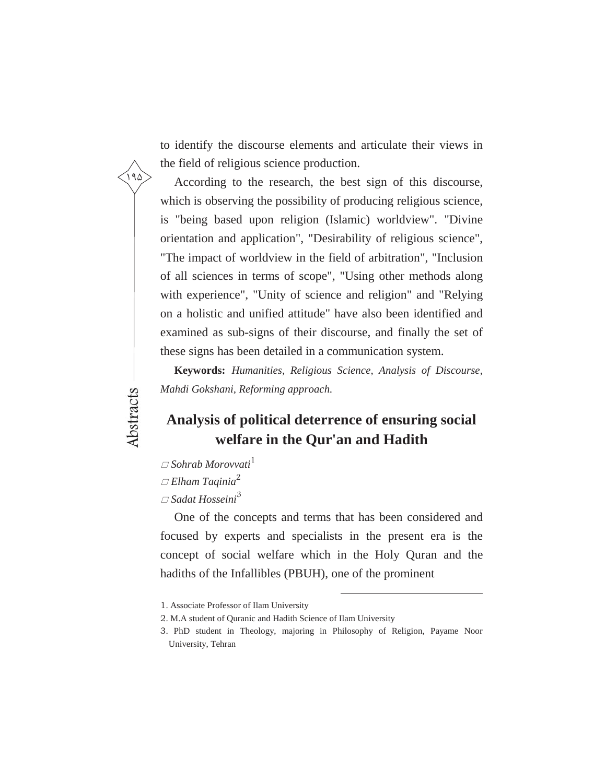to identify the discourse elements and articulate their views in the field of religious science production.

According to the research, the best sign of this discourse, which is observing the possibility of producing religious science, is "being based upon religion (Islamic) worldview". "Divine orientation and application", "Desirability of religious science", "The impact of worldview in the field of arbitration", "Inclusion of all sciences in terms of scope", "Using other methods along with experience", "Unity of science and religion" and "Relying on a holistic and unified attitude" have also been identified and examined as sub-signs of their discourse, and finally the set of these signs has been detailed in a communication system.

**Keywords:** *Humanities, Religious Science, Analysis of Discourse, Mahdi Gokshani, Reforming approach.*

## **Analysis of political deterrence of ensuring social welfare in the Qur'an and Hadith**

- $\Box$  Sohrab Morovvati<sup>1</sup>
- *Elham Taqinia*<sup>2</sup>

۱۹۵

Abstracts

*Sadat Hosseini*<sup>3</sup>

One of the concepts and terms that has been considered and focused by experts and specialists in the present era is the concept of social welfare which in the Holy Quran and the hadiths of the Infallibles (PBUH), one of the prominent

 $\overline{a}$ 

<sup>1</sup>. Associate Professor of Ilam University

<sup>2</sup>. M.A student of Quranic and Hadith Science of Ilam University

<sup>3</sup>. PhD student in Theology, majoring in Philosophy of Religion, Payame Noor University, Tehran